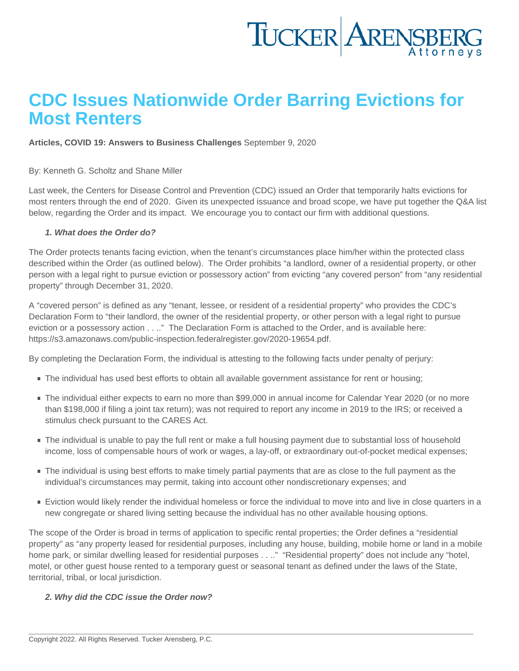# CDC Issues Nationwide Order Barring Evictions for Most Renters

[Articles](https://www.tuckerlaw.com/category/articles/), [COVID 19: Answers to Business Challenges](https://www.tuckerlaw.com/category/covid-19-answers-to-business-challenges/) September 9, 2020

By: [Kenneth G. Scholtz](https://www.tuckerlaw.com/people/kenneth-g-scholtz/) and [Shane Miller](https://www.tuckerlaw.com/people/paul-shane-miller/)

Last week, the Centers for Disease Control and Prevention (CDC) issued an Order that temporarily halts evictions for most renters through the end of 2020. Given its unexpected issuance and broad scope, we have put together the Q&A list below, regarding the Order and its impact. We encourage you to contact our firm with additional questions.

1. What does the Order do?

The Order protects tenants facing eviction, when the tenant's circumstances place him/her within the protected class described within the Order (as outlined below). The Order prohibits "a landlord, owner of a residential property, or other person with a legal right to pursue eviction or possessory action" from evicting "any covered person" from "any residential property" through December 31, 2020.

A "covered person" is defined as any "tenant, lessee, or resident of a residential property" who provides the CDC's Declaration Form to "their landlord, the owner of the residential property, or other person with a legal right to pursue eviction or a possessory action . . .." The Declaration Form is attached to the Order, and is available here: <https://s3.amazonaws.com/public-inspection.federalregister.gov/2020-19654.pdf>.

By completing the Declaration Form, the individual is attesting to the following facts under penalty of perjury:

- The individual has used best efforts to obtain all available government assistance for rent or housing;
- The individual either expects to earn no more than \$99,000 in annual income for Calendar Year 2020 (or no more than \$198,000 if filing a joint tax return); was not required to report any income in 2019 to the IRS; or received a stimulus check pursuant to the CARES Act.
- The individual is unable to pay the full rent or make a full housing payment due to substantial loss of household income, loss of compensable hours of work or wages, a lay-off, or extraordinary out-of-pocket medical expenses;
- The individual is using best efforts to make timely partial payments that are as close to the full payment as the individual's circumstances may permit, taking into account other nondiscretionary expenses; and
- Eviction would likely render the individual homeless or force the individual to move into and live in close quarters in a new congregate or shared living setting because the individual has no other available housing options.

The scope of the Order is broad in terms of application to specific rental properties; the Order defines a "residential property" as "any property leased for residential purposes, including any house, building, mobile home or land in a mobile home park, or similar dwelling leased for residential purposes . . .." "Residential property" does not include any "hotel, motel, or other guest house rented to a temporary guest or seasonal tenant as defined under the laws of the State, territorial, tribal, or local jurisdiction.

2. Why did the CDC issue the Order now?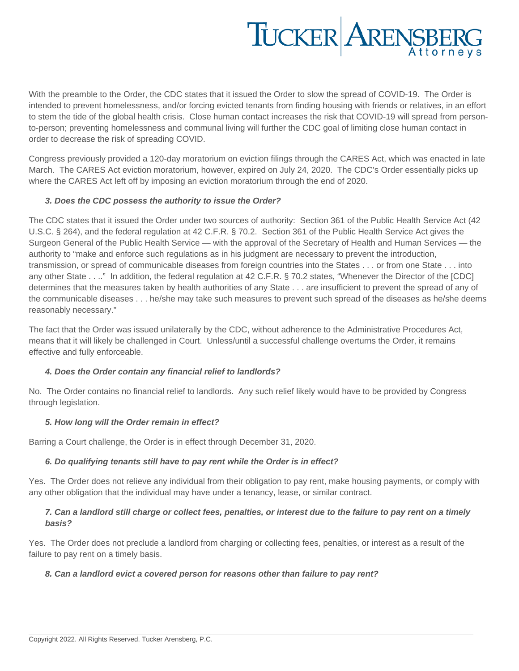# TUCKER ARENSBERG

With the preamble to the Order, the CDC states that it issued the Order to slow the spread of COVID-19. The Order is intended to prevent homelessness, and/or forcing evicted tenants from finding housing with friends or relatives, in an effort to stem the tide of the global health crisis. Close human contact increases the risk that COVID-19 will spread from personto-person; preventing homelessness and communal living will further the CDC goal of limiting close human contact in order to decrease the risk of spreading COVID.

Congress previously provided a 120-day moratorium on eviction filings through the CARES Act, which was enacted in late March. The CARES Act eviction moratorium, however, expired on July 24, 2020. The CDC's Order essentially picks up where the CARES Act left off by imposing an eviction moratorium through the end of 2020.

## **3. Does the CDC possess the authority to issue the Order?**

The CDC states that it issued the Order under two sources of authority: Section 361 of the Public Health Service Act (42 U.S.C. § 264), and the federal regulation at 42 C.F.R. § 70.2. Section 361 of the Public Health Service Act gives the Surgeon General of the Public Health Service — with the approval of the Secretary of Health and Human Services — the authority to "make and enforce such regulations as in his judgment are necessary to prevent the introduction, transmission, or spread of communicable diseases from foreign countries into the States . . . or from one State . . . into any other State . . .." In addition, the federal regulation at 42 C.F.R. § 70.2 states, "Whenever the Director of the [CDC] determines that the measures taken by health authorities of any State . . . are insufficient to prevent the spread of any of the communicable diseases . . . he/she may take such measures to prevent such spread of the diseases as he/she deems reasonably necessary."

The fact that the Order was issued unilaterally by the CDC, without adherence to the Administrative Procedures Act, means that it will likely be challenged in Court. Unless/until a successful challenge overturns the Order, it remains effective and fully enforceable.

# **4. Does the Order contain any financial relief to landlords?**

No. The Order contains no financial relief to landlords. Any such relief likely would have to be provided by Congress through legislation.

#### **5. How long will the Order remain in effect?**

Barring a Court challenge, the Order is in effect through December 31, 2020.

#### **6. Do qualifying tenants still have to pay rent while the Order is in effect?**

Yes. The Order does not relieve any individual from their obligation to pay rent, make housing payments, or comply with any other obligation that the individual may have under a tenancy, lease, or similar contract.

## **7. Can a landlord still charge or collect fees, penalties, or interest due to the failure to pay rent on a timely basis?**

Yes. The Order does not preclude a landlord from charging or collecting fees, penalties, or interest as a result of the failure to pay rent on a timely basis.

#### **8. Can a landlord evict a covered person for reasons other than failure to pay rent?**